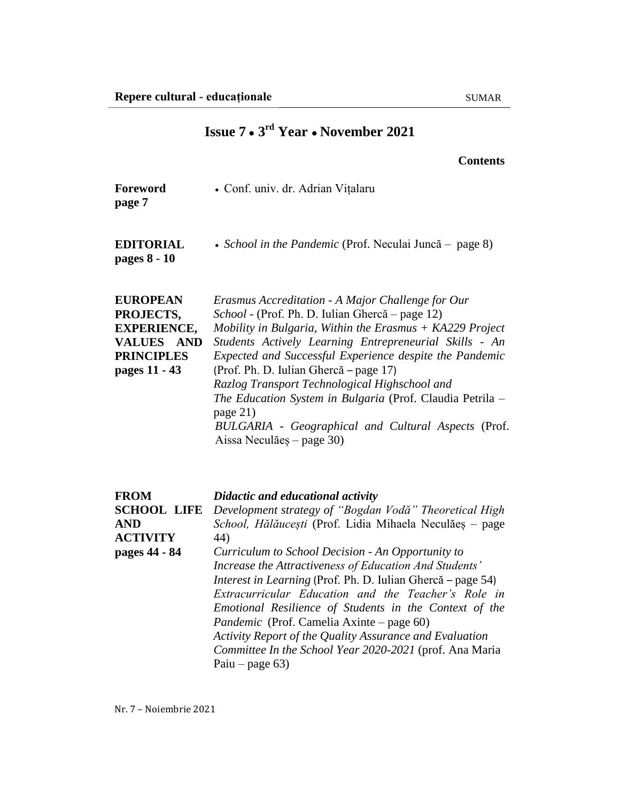|                                                                                                                         | <b>Contents</b>                                                                                                                                                                                                                                                                                                                                                                                                                                                                                                                                                                                                                 |
|-------------------------------------------------------------------------------------------------------------------------|---------------------------------------------------------------------------------------------------------------------------------------------------------------------------------------------------------------------------------------------------------------------------------------------------------------------------------------------------------------------------------------------------------------------------------------------------------------------------------------------------------------------------------------------------------------------------------------------------------------------------------|
| Foreword<br>page 7                                                                                                      | · Conf. univ. dr. Adrian Vițalaru                                                                                                                                                                                                                                                                                                                                                                                                                                                                                                                                                                                               |
| <b>EDITORIAL</b><br>pages 8 - 10                                                                                        | • School in the Pandemic (Prof. Neculai Juncă – page 8)                                                                                                                                                                                                                                                                                                                                                                                                                                                                                                                                                                         |
| <b>EUROPEAN</b><br>PROJECTS,<br><b>EXPERIENCE,</b><br><b>VALUES</b><br><b>AND</b><br><b>PRINCIPLES</b><br>pages 11 - 43 | Erasmus Accreditation - A Major Challenge for Our<br>School - (Prof. Ph. D. Iulian Ghercă – page 12)<br>Mobility in Bulgaria, Within the Erasmus $+$ KA229 Project<br>Students Actively Learning Entrepreneurial Skills - An<br>Expected and Successful Experience despite the Pandemic<br>(Prof. Ph. D. Iulian Ghercă – page 17)<br>Razlog Transport Technological Highschool and<br>The Education System in Bulgaria (Prof. Claudia Petrila -<br>page 21)<br>BULGARIA - Geographical and Cultural Aspects (Prof.<br>Aissa Neculăeș – page 30)                                                                                 |
| FROM<br><b>SCHOOL LIFE</b><br>AND<br><b>ACTIVITY</b><br>pages 44 - 84                                                   | Didactic and educational activity<br>Development strategy of "Bogdan Vodă" Theoretical High<br>School, Hălăucești (Prof. Lidia Mihaela Neculăeș – page<br>44)<br>Curriculum to School Decision - An Opportunity to<br>Increase the Attractiveness of Education And Students'<br>Interest in Learning (Prof. Ph. D. Iulian Ghercă – page 54)<br>Extracurricular Education and the Teacher's Role in<br>Emotional Resilience of Students in the Context of the<br>Pandemic (Prof. Camelia Axinte – page 60)<br>Activity Report of the Quality Assurance and Evaluation<br>Committee In the School Year 2020-2021 (prof. Ana Maria |

**Issue 7 ● 3 rd Year ● November 2021**

Nr. 7 – Noiembrie 2021

Paiu *–* page 63)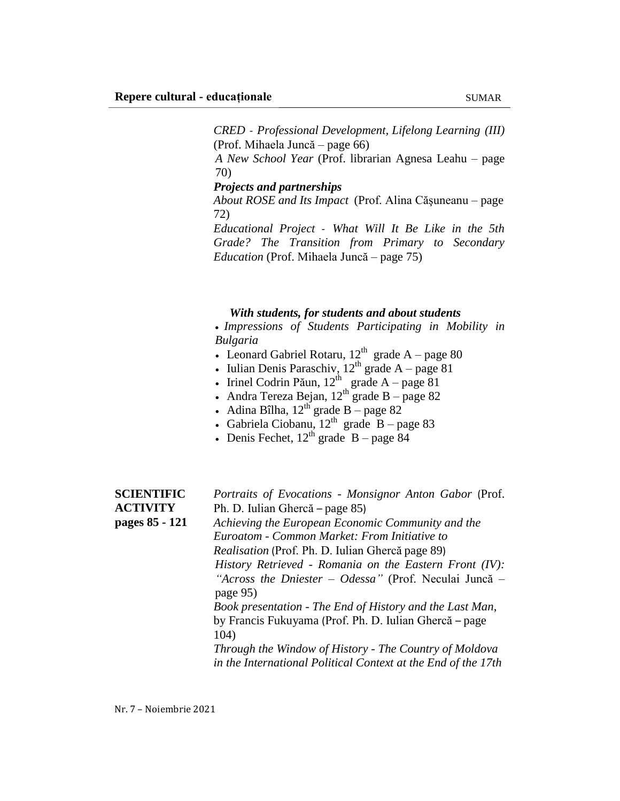*CRED - Professional Development, Lifelong Learning (III)* (Prof. Mihaela Juncă – page 66)

*A New School Year* (Prof. librarian Agnesa Leahu – page 70)

## *Projects and partnerships*

*About ROSE and Its Impact* (Prof. Alina Căşuneanu *–* page 72)

*Educational Project - What Will It Be Like in the 5th Grade? The Transition from Primary to Secondary Education* (Prof. Mihaela Juncă – page 75)

## *With students, for students and about students*

 *Impressions of Students Participating in Mobility in Bulgaria*

- Leonard Gabriel Rotaru,  $12^{th}$  grade A page 80
- Iulian Denis Paraschiv,  $12^{th}$  grade A page 81
- Irinel Codrin Păun,  $12^{th}$  grade A page 81
- Andra Tereza Bejan,  $12^{th}$  grade B page 82
- Adina Bîlha,  $12^{th}$  grade B page 82
- Gabriela Ciobanu,  $12^{th}$  grade B page 83
- Denis Fechet,  $12^{th}$  grade  $B$  page 84

| <b>SCIENTIFIC</b> | Portraits of Evocations - Monsignor Anton Gabor (Prof.            |
|-------------------|-------------------------------------------------------------------|
| <b>ACTIVITY</b>   | Ph. D. Iulian Ghercă – page 85)                                   |
| pages 85 - 121    | Achieving the European Economic Community and the                 |
|                   | Euroatom - Common Market: From Initiative to                      |
|                   | <i>Realisation</i> (Prof. Ph. D. Iulian Ghercă page 89)           |
|                   | History Retrieved - Romania on the Eastern Front $(IV)$ :         |
|                   | "Across the Dniester - Odessa" (Prof. Neculai Juncă -<br>page 95) |
|                   | Book presentation - The End of History and the Last Man,          |
|                   | by Francis Fukuyama (Prof. Ph. D. Iulian Ghercă – page            |
|                   | 104)                                                              |
|                   | Through the Window of History - The Country of Moldova            |
|                   | in the International Political Context at the End of the 17th     |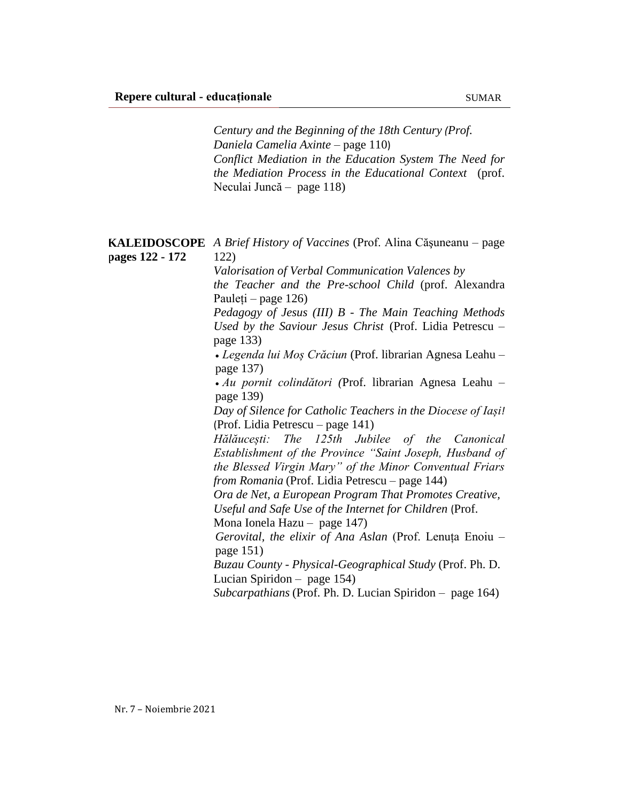*Century and the Beginning of the 18th Century (Prof. Daniela Camelia Axinte* – page 110) *Conflict Mediation in the Education System The Need for the Mediation Process in the Educational Context* (prof. Neculai Juncă – page 118)

**KALEIDOSCOPE** *A Brief History of Vaccines* (Prof. Alina Căşuneanu *–* page **pages 122 - 172** 122)

*Valorisation of Verbal Communication Valences by* 

*the Teacher and the Pre-school Child* (prof. Alexandra Pauleți *–* page 126)

*Pedagogy of Jesus (III) B - The Main Teaching Methods Used by the Saviour Jesus Christ* (Prof. Lidia Petrescu – page 133)

 *Legenda lui Moș Crăciun* (Prof. librarian Agnesa Leahu – page 137)

 *Au pornit colindători (*Prof. librarian Agnesa Leahu – page 139)

*Day of Silence for Catholic Teachers in the Diocese of Iași!* (Prof. Lidia Petrescu – page 141)

*Hălăucești: The 125th Jubilee of the Canonical Establishment of the Province "Saint Joseph, Husband of the Blessed Virgin Mary" of the Minor Conventual Friars from Romania* (Prof. Lidia Petrescu – page 144)

*Ora de Net, a European Program That Promotes Creative, Useful and Safe Use of the Internet for Children* (Prof.

Mona Ionela Hazu – page 147)

*Gerovital, the elixir of Ana Aslan* (Prof. Lenuța Enoiu – page 151)

*Buzau County - Physical-Geographical Study* (Prof. Ph. D. Lucian Spiridon – page 154)

*Subcarpathians* (Prof. Ph. D. Lucian Spiridon – page 164)